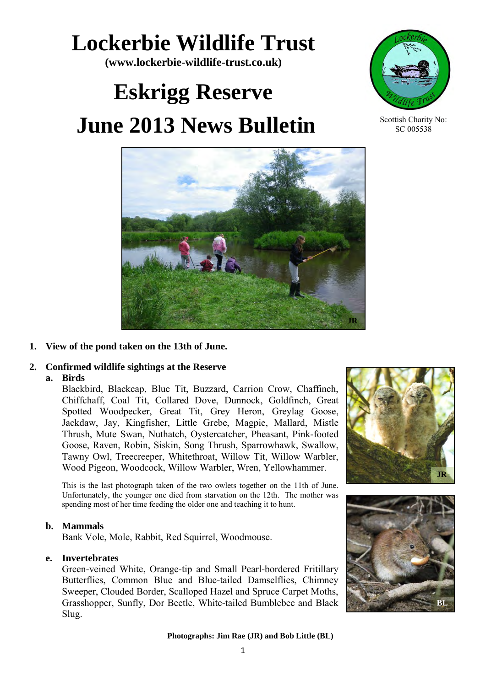# **Lockerbie Wildlife Trust**

**(www.lockerbie-wildlife-trust.co.uk)** 

# **Eskrigg Reserve June 2013 News Bulletin**



Scottish Charity No: SC 005538



## **1. View of the pond taken on the 13th of June.**

#### **2. Confirmed wildlife sightings at the Reserve**

#### **a. Birds**

Blackbird, Blackcap, Blue Tit, Buzzard, Carrion Crow, Chaffinch, Chiffchaff, Coal Tit, Collared Dove, Dunnock, Goldfinch, Great Spotted Woodpecker, Great Tit, Grey Heron, Greylag Goose, Jackdaw, Jay, Kingfisher, Little Grebe, Magpie, Mallard, Mistle Thrush, Mute Swan, Nuthatch, Oystercatcher, Pheasant, Pink-footed Goose, Raven, Robin, Siskin, Song Thrush, Sparrowhawk, Swallow, Tawny Owl, Treecreeper, Whitethroat, Willow Tit, Willow Warbler, Wood Pigeon, Woodcock, Willow Warbler, Wren, Yellowhammer.

This is the last photograph taken of the two owlets together on the 11th of June. Unfortunately, the younger one died from starvation on the 12th. The mother was spending most of her time feeding the older one and teaching it to hunt.

#### **b. Mammals**

Bank Vole, Mole, Rabbit, Red Squirrel, Woodmouse.

#### **e. Invertebrates**

 Green-veined White, Orange-tip and Small Pearl-bordered Fritillary Butterflies, Common Blue and Blue-tailed Damselflies, Chimney Sweeper, Clouded Border, Scalloped Hazel and Spruce Carpet Moths, Grasshopper, Sunfly, Dor Beetle, White-tailed Bumblebee and Black Slug.





**Photographs: Jim Rae (JR) and Bob Little (BL)**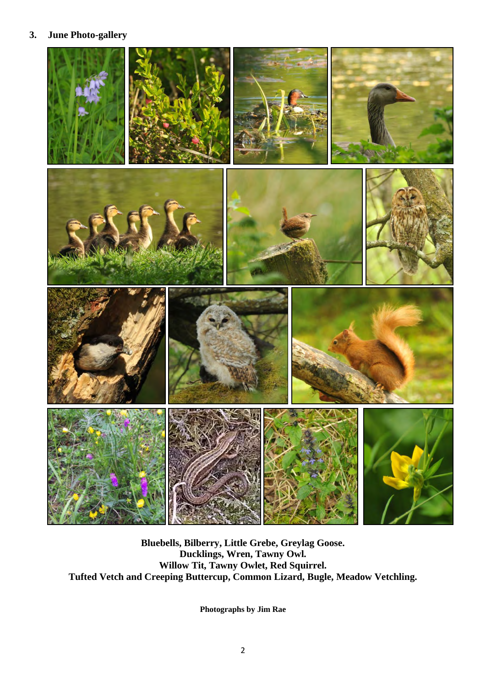# **3. June Photo-gallery**



**Bluebells, Bilberry, Little Grebe, Greylag Goose. Ducklings, Wren, Tawny Owl. Willow Tit, Tawny Owlet, Red Squirrel. Tufted Vetch and Creeping Buttercup, Common Lizard, Bugle, Meadow Vetchling.**

**Photographs by Jim Rae**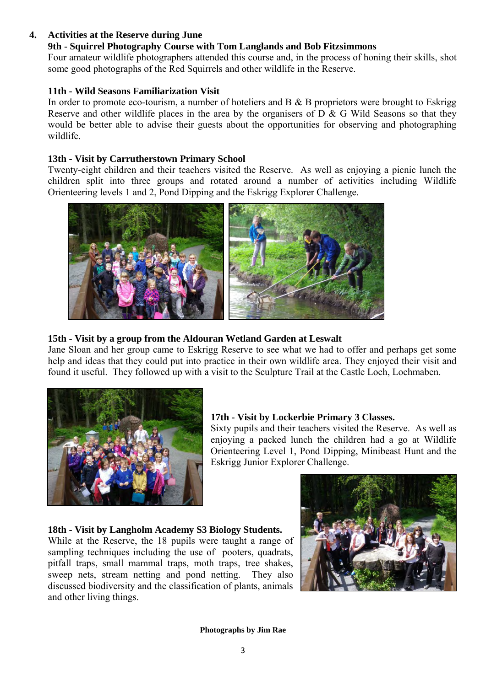#### **4. Activities at the Reserve during June**

#### **9th - Squirrel Photography Course with Tom Langlands and Bob Fitzsimmons**

Four amateur wildlife photographers attended this course and, in the process of honing their skills, shot some good photographs of the Red Squirrels and other wildlife in the Reserve.

#### **11th - Wild Seasons Familiarization Visit**

In order to promote eco-tourism, a number of hoteliers and B  $\&$  B proprietors were brought to Eskrigg Reserve and other wildlife places in the area by the organisers of D & G Wild Seasons so that they would be better able to advise their guests about the opportunities for observing and photographing wildlife.

#### **13th - Visit by Carrutherstown Primary School**

Twenty-eight children and their teachers visited the Reserve. As well as enjoying a picnic lunch the children split into three groups and rotated around a number of activities including Wildlife Orienteering levels 1 and 2, Pond Dipping and the Eskrigg Explorer Challenge.



#### **15th - Visit by a group from the Aldouran Wetland Garden at Leswalt**

Jane Sloan and her group came to Eskrigg Reserve to see what we had to offer and perhaps get some help and ideas that they could put into practice in their own wildlife area. They enjoyed their visit and found it useful. They followed up with a visit to the Sculpture Trail at the Castle Loch, Lochmaben.



#### **17th - Visit by Lockerbie Primary 3 Classes.**

Sixty pupils and their teachers visited the Reserve. As well as enjoying a packed lunch the children had a go at Wildlife Orienteering Level 1, Pond Dipping, Minibeast Hunt and the Eskrigg Junior Explorer Challenge.

#### **18th - Visit by Langholm Academy S3 Biology Students.**

While at the Reserve, the 18 pupils were taught a range of sampling techniques including the use of pooters, quadrats, pitfall traps, small mammal traps, moth traps, tree shakes, sweep nets, stream netting and pond netting. They also discussed biodiversity and the classification of plants, animals and other living things.



#### **Photographs by Jim Rae**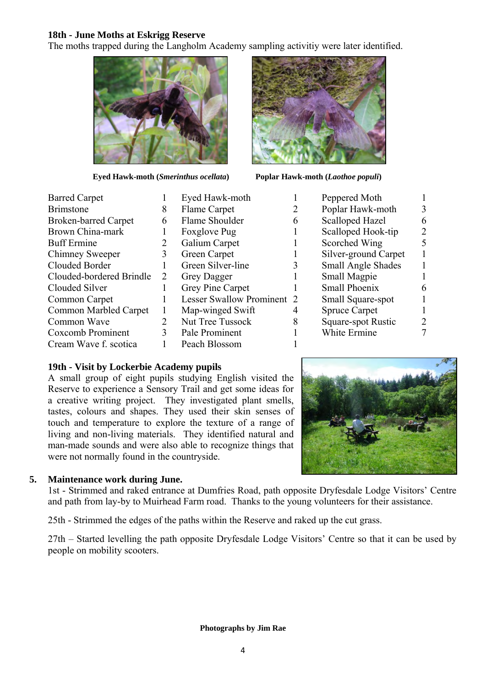#### **18th - June Moths at Eskrigg Reserve**

The moths trapped during the Langholm Academy sampling activitiy were later identified.



 **Eyed Hawk-moth (***Smerinthus ocellata***) Poplar Hawk-moth (***Laothoe populi***)**



#### **19th - Visit by Lockerbie Academy pupils**

A small group of eight pupils studying English visited the Reserve to experience a Sensory Trail and get some ideas for a creative writing project. They investigated plant smells, tastes, colours and shapes. They used their skin senses of touch and temperature to explore the texture of a range of living and non-living materials. They identified natural and man-made sounds and were also able to recognize things that were not normally found in the countryside.

#### **5. Maintenance work during June.**

1st - Strimmed and raked entrance at Dumfries Road, path opposite Dryfesdale Lodge Visitors' Centre and path from lay-by to Muirhead Farm road. Thanks to the young volunteers for their assistance.

25th - Strimmed the edges of the paths within the Reserve and raked up the cut grass.

27th – Started levelling the path opposite Dryfesdale Lodge Visitors' Centre so that it can be used by people on mobility scooters.



|                | Peppered Moth             |   |
|----------------|---------------------------|---|
| $\overline{2}$ | Poplar Hawk-moth          | 3 |
| 5              | <b>Scalloped Hazel</b>    | 6 |
| l              | Scalloped Hook-tip        | 2 |
| l              | Scorched Wing             | 5 |
| l              | Silver-ground Carpet      |   |
| 3              | <b>Small Angle Shades</b> |   |
| 1              | <b>Small Magpie</b>       |   |
| l              | <b>Small Phoenix</b>      | 6 |
| $\overline{2}$ | Small Square-spot         |   |
| 4              | <b>Spruce Carpet</b>      |   |
| 3              | Square-spot Rustic        | 2 |
| 1              | White Ermine              |   |
|                |                           |   |